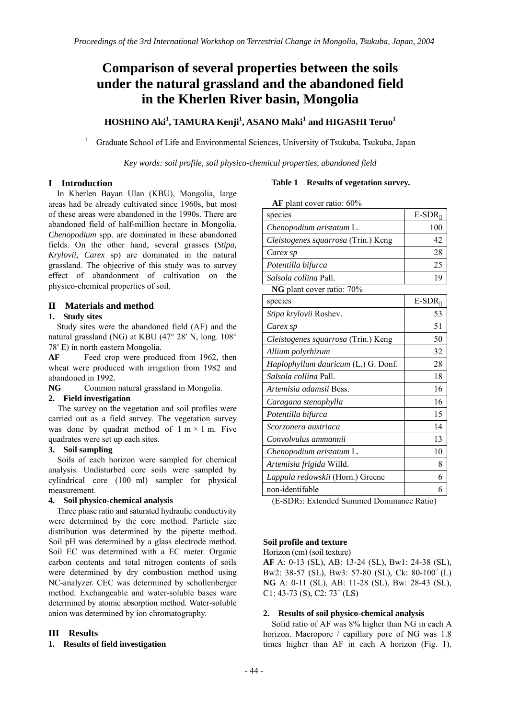# **Comparison of several properties between the soils under the natural grassland and the abandoned field in the Kherlen River basin, Mongolia**

## $\textrm{HOSHINO Aki}^{1}, \textrm{TAMURA Kenji}^{1}, \textrm{ASANO Maki}^{1}$  and  $\textrm{HIGASHI Teruo}^{1}$

Graduate School of Life and Environmental Sciences, University of Tsukuba, Tsukuba, Japan

*Key words: soil profile, soil physico-chemical properties, abandoned field* 

## **I Introduction**

1

In Kherlen Bayan Ulan (KBU), Mongolia, large areas had be already cultivated since 1960s, but most of these areas were abandoned in the 1990s. There are abandoned field of half-million hectare in Mongolia. *Chenopodium* spp. are dominated in these abandoned fields. On the other hand, several grasses (*Stipa, Krylovii, Carex* sp) are dominated in the natural grassland. The objective of this study was to survey effect of abandonment of cultivation on the physico-chemical properties of soil.

#### **II Materials and method**

#### **1. Study sites**

Study sites were the abandoned field (AF) and the natural grassland (NG) at KBU (47° 28′ N, long. 108° 78′ E) in north eastern Mongolia.

AF Feed crop were produced from 1962, then wheat were produced with irrigation from 1982 and abandoned in 1992.

**NG** Common natural grassland in Mongolia.

#### **2. Field investigation**

The survey on the vegetation and soil profiles were carried out as a field survey. The vegetation survey was done by quadrat method of  $1 \text{ m} \times 1 \text{ m}$ . Five quadrates were set up each sites.

#### **3. Soil sampling**

Soils of each horizon were sampled for chemical analysis. Undisturbed core soils were sampled by cylindrical core (100 ml) sampler for physical measurement.

#### **4. Soil physico-chemical analysis**

Three phase ratio and saturated hydraulic conductivity were determined by the core method. Particle size distribution was determined by the pipette method. Soil pH was determined by a glass electrode method. Soil EC was determined with a EC meter. Organic carbon contents and total nitrogen contents of soils were determined by dry combustion method using NC-analyzer. CEC was determined by schollenberger method. Exchangeable and water-soluble bases ware determined by atomic absorption method. Water-soluble anion was determined by ion chromatography.

#### **III Results**

#### **1. Results of field investigation**

### **Table 1 Results of vegetation survey.**

**AF** plant cover ratio: 60%

| species                             | E-SDR |
|-------------------------------------|-------|
| Chenopodium aristatum L.            | 100   |
| Cleistogenes squarrosa (Trin.) Keng | 42    |
| Carex sp                            | 28    |
| Potentilla bifurca                  | 25    |
| <i>Salsola collina</i> Pall.        | 19    |
| NG plant cover ratio: 70%           |       |
| species                             | E-SDR |
| Stipa krylovii Roshev.              | 53    |
| Carex sp                            | 51    |
| Cleistogenes squarrosa (Trin.) Keng | 50    |
| Allium polyrhizum                   | 32    |
| Haplophyllum dauricum (L.) G. Donf. | 28    |
| Salsola collina Pall.               | 18    |
| Artemisia adamsii Bess.             | 16    |
| Caragana stenophylla                | 16    |
| Potentilla bifurca                  | 15    |
| Scorzonera austriaca                | 14    |
| Convolvulus ammannii                | 13    |
| Chenopodium aristatum L.            | 10    |
| Artemisia frigida Willd.            | 8     |
| Lappula redowskii (Horn.) Greene    | 6     |
| non-identifable                     | 6     |

(E-SDR2: Extended Summed Dominance Ratio)

#### **Soil profile and texture**

Horizon (cm) (soil texture) **AF** A: 0-13 (SL), AB: 13-24 (SL), Bw1: 24-38 (SL), Bw2: 38-57 (SL), Bw3: 57-80 (SL), Ck:  $80-100^+(L)$ **NG** A: 0-11 (SL), AB: 11-28 (SL), Bw: 28-43 (SL), C1: 43-73 (S), C2:  $73^+$  (LS)

#### **2. Results of soil physico-chemical analysis**

Solid ratio of AF was 8% higher than NG in each A horizon. Macropore / capillary pore of NG was 1.8 times higher than AF in each A horizon (Fig. 1).